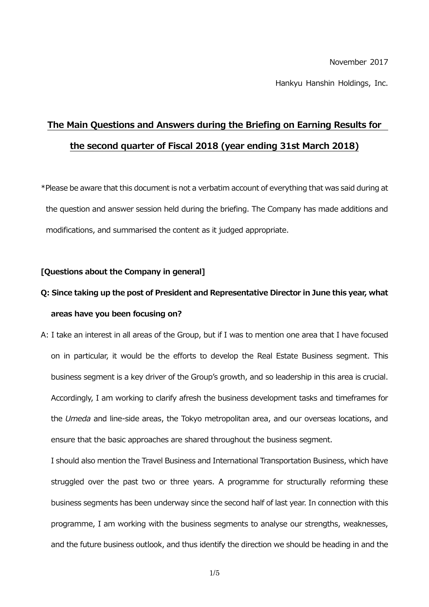#### November 2017

Hankyu Hanshin Holdings, Inc.

# **The Main Questions and Answers during the Briefing on Earning Results for the second quarter of Fiscal 2018 (year ending 31st March 2018)**

\*Please be aware that this document is not a verbatim account of everything that was said during at the question and answer session held during the briefing. The Company has made additions and modifications, and summarised the content as it judged appropriate.

## **[Questions about the Company in general]**

# **Q: Since taking up the post of President and Representative Director in June this year, what areas have you been focusing on?**

A: I take an interest in all areas of the Group, but if I was to mention one area that I have focused on in particular, it would be the efforts to develop the Real Estate Business segment. This business segment is a key driver of the Group's growth, and so leadership in this area is crucial. Accordingly, I am working to clarify afresh the business development tasks and timeframes for the *Umeda* and line-side areas, the Tokyo metropolitan area, and our overseas locations, and ensure that the basic approaches are shared throughout the business segment.

I should also mention the Travel Business and International Transportation Business, which have struggled over the past two or three years. A programme for structurally reforming these business segments has been underway since the second half of last year. In connection with this programme, I am working with the business segments to analyse our strengths, weaknesses, and the future business outlook, and thus identify the direction we should be heading in and the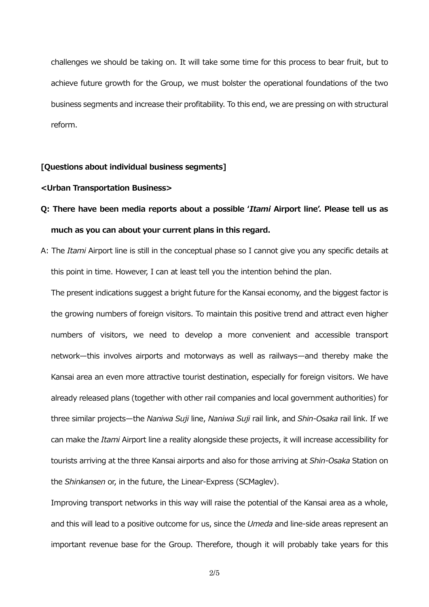challenges we should be taking on. It will take some time for this process to bear fruit, but to achieve future growth for the Group, we must bolster the operational foundations of the two business segments and increase their profitability. To this end, we are pressing on with structural reform.

### **[Questions about individual business segments]**

### **<Urban Transportation Business>**

## **Q: There have been media reports about a possible '***Itami* **Airport line'. Please tell us as much as you can about your current plans in this regard.**

A: The *Itami* Airport line is still in the conceptual phase so I cannot give you any specific details at this point in time. However, I can at least tell you the intention behind the plan.

The present indications suggest a bright future for the Kansai economy, and the biggest factor is the growing numbers of foreign visitors. To maintain this positive trend and attract even higher numbers of visitors, we need to develop a more convenient and accessible transport network—this involves airports and motorways as well as railways—and thereby make the Kansai area an even more attractive tourist destination, especially for foreign visitors. We have already released plans (together with other rail companies and local government authorities) for three similar projects—the *Naniwa Suji* line, *Naniwa Suji* rail link, and *Shin-Osaka* rail link. If we can make the *Itami* Airport line a reality alongside these projects, it will increase accessibility for tourists arriving at the three Kansai airports and also for those arriving at *Shin-Osaka* Station on the *Shinkansen* or, in the future, the Linear-Express (SCMaglev).

Improving transport networks in this way will raise the potential of the Kansai area as a whole, and this will lead to a positive outcome for us, since the *Umeda* and line-side areas represent an important revenue base for the Group. Therefore, though it will probably take years for this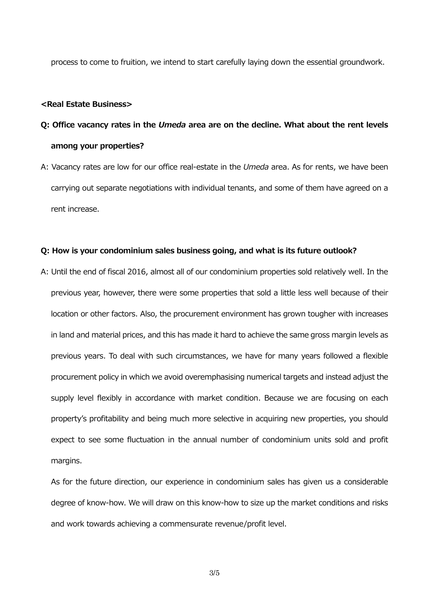process to come to fruition, we intend to start carefully laying down the essential groundwork.

#### **<Real Estate Business>**

# **Q: Office vacancy rates in the** *Umeda* **area are on the decline. What about the rent levels among your properties?**

A: Vacancy rates are low for our office real-estate in the *Umeda* area. As for rents, we have been carrying out separate negotiations with individual tenants, and some of them have agreed on a rent increase.

## **Q: How is your condominium sales business going, and what is its future outlook?**

A: Until the end of fiscal 2016, almost all of our condominium properties sold relatively well. In the previous year, however, there were some properties that sold a little less well because of their location or other factors. Also, the procurement environment has grown tougher with increases in land and material prices, and this has made it hard to achieve the same gross margin levels as previous years. To deal with such circumstances, we have for many years followed a flexible procurement policy in which we avoid overemphasising numerical targets and instead adjust the supply level flexibly in accordance with market condition. Because we are focusing on each property's profitability and being much more selective in acquiring new properties, you should expect to see some fluctuation in the annual number of condominium units sold and profit margins.

As for the future direction, our experience in condominium sales has given us a considerable degree of know-how. We will draw on this know-how to size up the market conditions and risks and work towards achieving a commensurate revenue/profit level.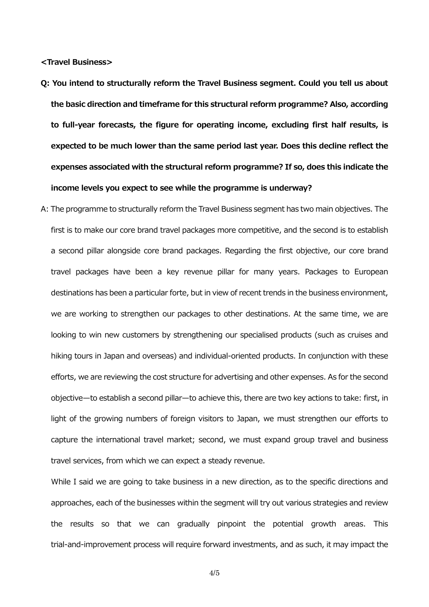**<Travel Business>**

- **Q: You intend to structurally reform the Travel Business segment. Could you tell us about the basic direction and timeframe for this structural reform programme? Also, according to full-year forecasts, the figure for operating income, excluding first half results, is expected to be much lower than the same period last year. Does this decline reflect the expenses associated with the structural reform programme? If so, does this indicate the income levels you expect to see while the programme is underway?**
- A: The programme to structurally reform the Travel Business segment has two main objectives. The first is to make our core brand travel packages more competitive, and the second is to establish a second pillar alongside core brand packages. Regarding the first objective, our core brand travel packages have been a key revenue pillar for many years. Packages to European destinations has been a particular forte, but in view of recent trends in the business environment, we are working to strengthen our packages to other destinations. At the same time, we are looking to win new customers by strengthening our specialised products (such as cruises and hiking tours in Japan and overseas) and individual-oriented products. In conjunction with these efforts, we are reviewing the cost structure for advertising and other expenses. As for the second objective—to establish a second pillar—to achieve this, there are two key actions to take: first, in light of the growing numbers of foreign visitors to Japan, we must strengthen our efforts to capture the international travel market; second, we must expand group travel and business travel services, from which we can expect a steady revenue.

While I said we are going to take business in a new direction, as to the specific directions and approaches, each of the businesses within the segment will try out various strategies and review the results so that we can gradually pinpoint the potential growth areas. This trial-and-improvement process will require forward investments, and as such, it may impact the